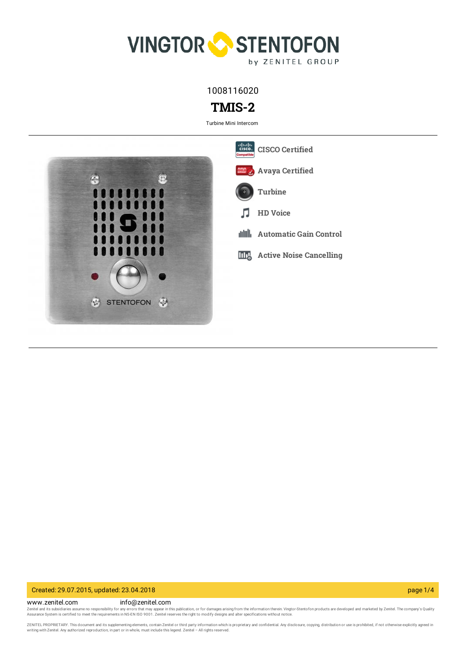

1008116020

# **TMIS-2**

Turbine Mini Intercom



### Created: 29.07.2015, updated: 23.04.2018 page 1/4

www.zenitel.com info@zenitel.com Zenitel and its subsidiaries assume no responsibility for any errors that may appear in this publication, or for damages arising from the information therein. Vingtor-Stentofon products are developed and marketed by Zenite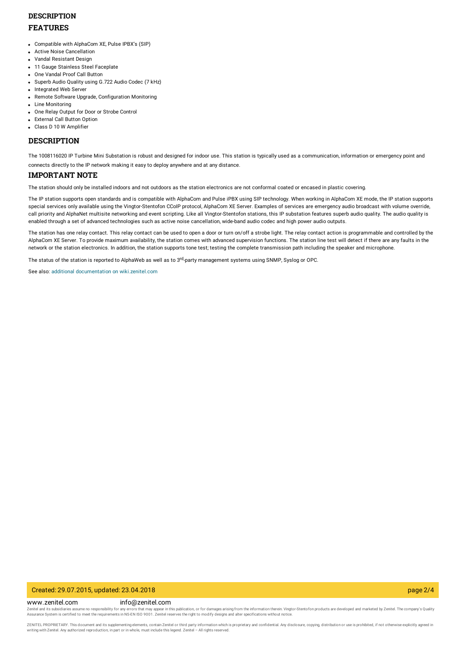## **DESCRIPTION FEATURES**

- Compatible with AlphaCom XE, Pulse IPBX's (SIP)
- Active Noise Cancellation
- Vandal Resistant Design
- **11 Gauge Stainless Steel Faceplate**
- One Vandal Proof Call Button
- Superb Audio Quality using G.722 Audio Codec (7 kHz)
- Integrated Web Server
- Remote Software Upgrade, Configuration Monitoring
- Line Monitoring
- One Relay Output for Door or Strobe Control
- **External Call Button Option**
- Class D 10 W Amplifier

### **DESCRIPTION**

The 1008116020 IP Turbine Mini Substation is robust and designed for indoor use. This station is typically used as a communication, information or emergency point and

connects directly to the IP network making it easy to deploy anywhere and at any distance.

### **IMPORTANT NOTE**

The station should only be installed indoors and not outdoors as the station electronics are not conformal coated or encased in plastic covering.

The IP station supports open standards and is compatible with AlphaCom and Pulse iPBX using SIP technology. When working in AlphaCom XE mode, the IP station supports special services only available using the Vingtor-Stentofon CCoIP protocol, AlphaCom XE Server. Examples of services are emergency audio broadcast with volume override, call priority and AlphaNet multisite networking and event scripting. Like all Vingtor-Stentofon stations, this IP substation features superb audio quality. The audio quality is enabled through a set of advanced technologies such as active noise cancellation, wide-band audio codec and high power audio outputs.

The station has one relay contact. This relay contact can be used to open a door or turn on/off a strobe light. The relay contact action is programmable and controlled by the AlphaCom XE Server. To provide maximum availability, the station comes with advanced supervision functions. The station line test will detect if there are any faults in the network or the station electronics. In addition, the station supports tone test; testing the complete transmission path including the speaker and microphone.

The status of the station is reported to AlphaWeb as well as to 3<sup>rd</sup>-party management systems using SNMP, Syslog or OPC.

See also: additional documentation on [wiki.zenitel.com](https://wiki.zenitel.com/wiki/TMIS-2)

#### Created: 29.07.2015, updated: 23.04.2018 page 2/4

www.zenitel.com info@zenitel.com Zenitel and its subsidiaries assume no responsibility for any errors that may appear in this publication, or for damages arising from the information therein. Vingtor-Stentofon products are developed and marketed by Zenite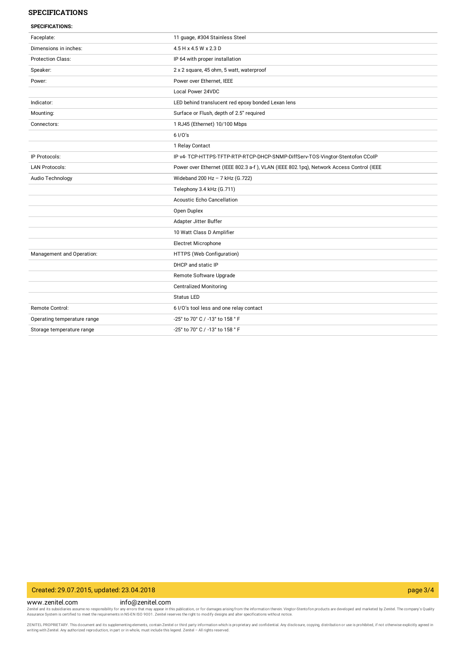### **SPECIFICATIONS**

| <b>SPECIFICATIONS:</b>      |                                                                                         |
|-----------------------------|-----------------------------------------------------------------------------------------|
| Faceplate:                  | 11 quage, #304 Stainless Steel                                                          |
| Dimensions in inches:       | 4.5 H x 4.5 W x 2.3 D                                                                   |
| <b>Protection Class:</b>    | IP 64 with proper installation                                                          |
| Speaker:                    | 2 x 2 square, 45 ohm, 5 watt, waterproof                                                |
| Power:                      | Power over Ethernet, IEEE                                                               |
|                             | Local Power 24VDC                                                                       |
| Indicator:                  | LED behind translucent red epoxy bonded Lexan lens                                      |
| Mounting:                   | Surface or Flush, depth of 2.5" required                                                |
| Connectors:                 | 1 RJ45 (Ethernet) 10/100 Mbps                                                           |
|                             | 61/0's                                                                                  |
|                             | 1 Relay Contact                                                                         |
| IP Protocols:               | IP v4- TCP-HTTPS-TFTP-RTP-RTCP-DHCP-SNMP-DiffServ-TOS-Vingtor-Stentofon CCoIP           |
| <b>LAN Protocols:</b>       | Power over Ethernet (IEEE 802.3 a-f), VLAN (IEEE 802.1pq), Network Access Control (IEEE |
| Audio Technology            | Wideband 200 Hz - 7 kHz (G.722)                                                         |
|                             | Telephony 3.4 kHz (G.711)                                                               |
|                             | Acoustic Echo Cancellation                                                              |
|                             | Open Duplex                                                                             |
|                             | Adapter Jitter Buffer                                                                   |
|                             | 10 Watt Class D Amplifier                                                               |
|                             | Electret Microphone                                                                     |
| Management and Operation:   | HTTPS (Web Configuration)                                                               |
|                             | DHCP and static IP                                                                      |
|                             | Remote Software Upgrade                                                                 |
|                             | <b>Centralized Monitoring</b>                                                           |
|                             | <b>Status LED</b>                                                                       |
| Remote Control:             | 6 I/O's tool less and one relay contact                                                 |
| Operating temperature range | -25° to 70° C / -13° to 158 ° F                                                         |
| Storage temperature range   | -25° to 70° C / -13° to 158 ° F                                                         |
|                             |                                                                                         |

### Created: 29.07.2015, updated: 23.04.2018 page 3/4

www.zenitel.com info@zenitel.com

Zenitel and its subsidiaries assume no responsibility for any errors that may appear in this publication, or for damages arising from the information therein. Vingtor-Stentofon products are developed and marketed by Zenite